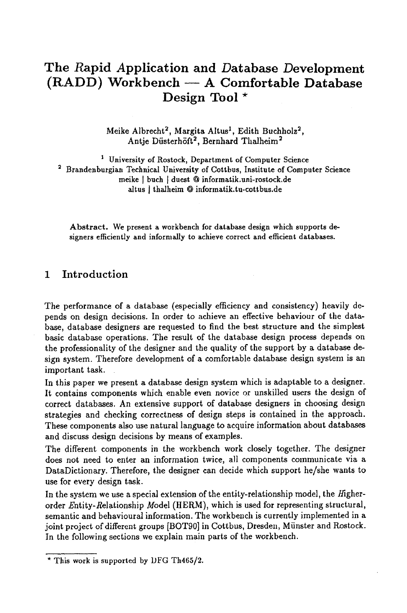# **The Rapid Application and Database Development (RADD) Workbench ..... A Comfortable Database Design Tool \***

Meike Albrecht<sup>2</sup>, Margita Altus<sup>1</sup>, Edith Buchholz<sup>2</sup>, Antie Düsterhöft<sup>2</sup>, Bernhard Thalheim<sup>2</sup>

<sup>1</sup> University of Rostock, Department of Computer Science 2 Brandenburgian Technical University of Cottbus, Institute of Computer Science meike I buch I duest @ informatik.uni-rostock.de altus ] thalheim @ informatik.tu-cottbus.de

Abstract. We present a workbench for database design which supports designers efficiently and informally to achieve correct and efficient databases.

## **1 Introduction**

The performance of a database (especially efficiency and consistency) heavily depends on design decisions. In order to achieve an effective behaviour of the database, database designers are requested to find the best structure and the simplest basic database operations. The result of the database design process depends on the professionality of the designer and the quality of the support by a database design system. Therefore development of a comfortable database design system is an important task.

In this paper we present a database design system which is adaptable to a designer. It contains components which enable even novice or unskilled users the design of correct databases. An extensive support of database designers in choosing design strategies and checking correctness of design steps is contained in the approach. These components also use natural language to acquire information about databases and discuss design decisions by means of examples.

The different components in the workbench work closely together. The designer does not need to enter an information twice, all components communicate via a DataDictionary. Therefore, the designer can decide which support he/she wants to use for every design task.

In the system we use a special extension of the entity-relationship model, the Higherorder Entity-Relationship Model (HERM), which is used for representing structural, semantic and behavioural information. The workbench is currently implemented in a joint project of different groups [BOT90] in Cottbus, Dresden, Miinster and Rostock. In the following sections we explain main parts of the workbench.

<sup>\*</sup> This work is supported by DFG Th465/2.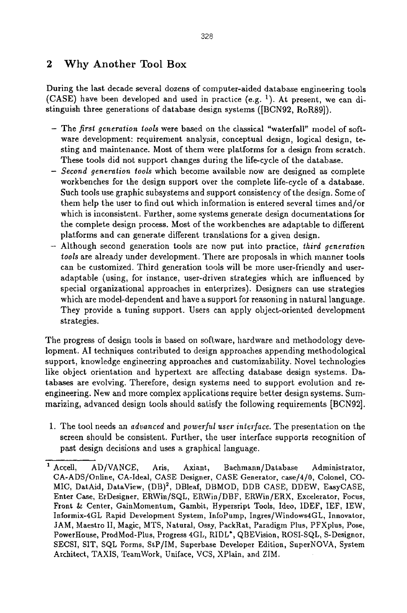## **2 Why Another Tool Box**

During the last decade several dozens of computer-aided database engineering tools (CASE) have been developed and used in practice  $(e.g. 1)$ . At present, we can distinguish three generations of database design systems ([BCN92, RoR89]).

- The *first generation tools* were based on the classical "waterfall" model of software development: requirement analysis, conceptual design, logical design, testing and maintenance. Most of them were platforms for a design from scratch. These tools did not support changes during the life-cycle of the database.
- *Second generation tools* which become available now are designed as complete workbenches for the design support over the complete life-cycle of a database. Such tools use graphic subsystems and support consistency of the design. Some of them help the user to find out which information is entered several times and/or which is inconsistent. Further, some systems generate design documentations for the complete design process. Most of the workbenches are adaptable to different platforms and can generate different translations for a given design.
- Although second generation tools are now put into practice, *third generation tools* are already under development. There are proposals in which manner tools can be customized. Third generation tools will be more user-friendly and useradaptable (using, for instance, user-driven strategies which are influenced by special organizational approaches in enterprizes). Designers can use strategies which are model-dependent and have a support for reasoning in natural language. They provide a tuning support. Users can apply object-oriented development strategies.

The progress of design tools is based on software , hardware and methodology development. AI techniques contributed to design approaches appending methodological support, knowledge engineering approaches and customizability. Novel technologies like object orientation and hypertext are affecting database design systems. Databases are evolving. Therefore, design systems need to support evolution and reengineering. New and more complex applications require better design systems. Summarizing, advanced design tools should satisfy the following requirements [BCN92].

1. The tool needs an *advanced* and *powerful user interface.* The presentation on the screen should be consistent. Further, the user interface supports recognition of past design decisions and uses a graphical language.

<sup>&</sup>lt;sup>1</sup> Accell, AD/VANCE, Aris, Axiant, Bachmann/Database Administrator, CA-ADS/Online, CA-Ideal, CASE Designer, CASE Generator, case/4/0, Colonel, CO-MIC, DatAid, DataView, (DB)<sup>2</sup>, DBleaf, DBMOD, DDB CASE, DDEW, EasyCASE, Enter Case, ErDesigner, ERWin/SQL, ERWin/DBF, ERWin/ERX, Excelerator, Focus, Front & Center, GainMomentum, Gambit, Hypersript Tools, Ideo, IDEF, IEF, IEW, Informix-4GL Rapid Development System, InfoPump, Ingres/Windows4GL, Innovator, JAM, Maestro II, Magic, MTS, Natural, Ossy, PackRat, Paradigm Plus, PFXplus, Pose, PowerHouse, ProdMod-Plus, Progress 4GL, RIDL\*, QBEVision, ROSI-SQL, S-Designor, SECSI, SIT, SQL Forms, StP/IM, Superbase Developer Edition, SuperNOVA, System Architect, TAXIS, TeamWork, Uniface, VCS, XPlain, and ZIM.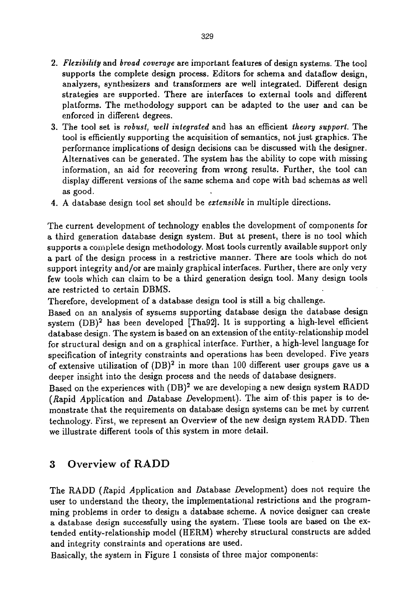- *2. Flezibility* and *broad coverage* are important features of design systems. The tool supports the complete design process. Editors for schema and dataflow design, analyzers, synthesizers and transformers are well integrated. Different design strategies are supported. There are interfaces to external tools and different platforms. The methodology support can be adapted to the user and can be enforced in different degrees.
- 3. The tool set is *robust, well integrated* and has an efficient *theory support.* The tool is efficiently supporting the acquisition of semantics, not just graphics. The performance implications of design decisions can be discussed with the designer. Alternatives can be generated. The system has the ability to cope with missing information, an aid for recovering from wrong results. Further, the tool can display different versions of the same schema and cope with bad schemas as well as good.
- 4. A database design tool set should be *extensible* in multiple directions.

The current development of technology enables the development of components for a third generation database design system. But at present, there is no tool which supports a complete design methodology. Most tools currently available support only a part of the design process in a restrictive manner. There are tools which do not support integrity and/or are mainly graphical interfaces. Further, there are only very few tools which can claim to be a third generation design tool. Many design tools are restricted to certain DBMS.

Therefore, development of a database design tool is still a big challenge.

Based on an analysis of systems supporting database design the database design system  $(DB)^2$  has been developed [Tha92]. It is supporting a high-level efficient database design. The system is based on an extension of the entity-relationship model for structural design and on a graphical interface. Further, a high-level language for specification of integrity constraints and operations has been developed. Five years of extensive utilization of  $(DB)^2$  in more than 100 different user groups gave us a deeper insight into the design process and the needs of database designers.

Based on the experiences with  $(DB)^2$  we are developing a new design system RADD (Rapid Application and Database Development). The aim of this paper is to demonstrate that the requirements on database design systems can be met by current technology. First, we represent an Overview of the new design system RADD. Then we illustrate different tools of this system in more detail.

#### 3 Overview of RADD

The RADD (Rapid Application and Database Development) does not require the user to understand the theory, the implementational restrictions and the programming problems in order to design a database scheme. A novice designer can create a database design successfully using the system. These tools are based on the extended entity-relationship model (HERM) whereby structural constructs are added and integrity constraints and operations are used.

Basically, the system in Figure I consists of three major components: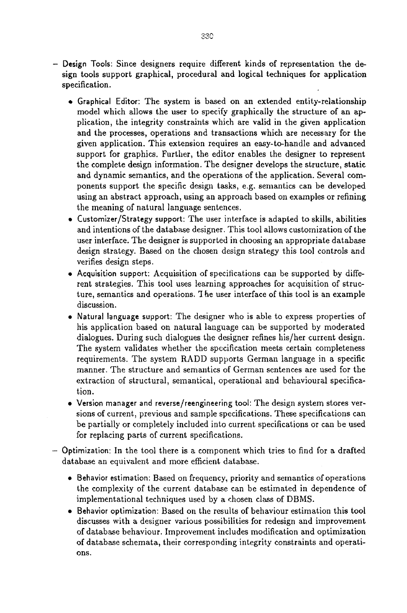- **Design Tools:** Since designers require different kinds of representation the design tools support graphical, procedural and logical techniques for application specification.
	- 9 Graphical Editor: The system is based on an extended entity-relationship model which allows the user to specify graphically the structure of an application, the integrity constraints which are valid in the given application and the processes, operations and transactions which are necessary for the given application. This extension requires an easy-to-handle and advanced support for graphics. Further, the editor enables the designer to represent the complete design information. The designer develops the structure, static and dynamic semantics, and the operations of the application. Several components support the specific design tasks, e.g. semantics can be developed using an abstract approach, using an approach based on examples or refining the meaning of natural language sentences.
	- 9 Customizer/Strategy support: The user interface is adapted to skills, abilities and intentions of the database designer. This tool allows customization of the user interface. The designer is supported in choosing an appropriate database design strategy. Based on the chosen design strategy this tool controls and verifies design steps.
	- 9 Acquisition support: Acquisition of specifications can be supported by different strategies. This tool uses learning approaches for acquisition of structure, semantics and operations. The user interface of this tool is an example discussion.
	- 9 Natural language support: The designer who is able to express properties of his application based on natural language can be supported by moderated dialogues. During such dialogues the designer refines his/her current design. The system validates whether the spccification meets certain completeness requirements. The system RADD supports German language in a specific manner. The structure and semantics of German sentences are used for the extraction of structural, semantical, operational and behavioural specification.
	- 9 Version manager and reverse/reengineering tool: The design system stores versions of current, previous and sample specifications. These specifications can be partially or completely included into current specifications or can be used for replacing parts of current specifications.
- Optimization: In the tool there is a component which tries to find for a drafted database an equivalent and more efficient database.
	- 9 Behavior estimation: Based on frequency, priority and semantics of operations the complexity of the current database can be estimated in dependence of implementational techniques used by a chosen class of DBMS.
	- 9 Behavior optimization: Based on the results of behaviour estimation this tool discusses with a designer various possibilities for redesign and improvement of database behaviour. Improvement includes modification and optimization of database schemata, their corresponding integrity constraints and operations.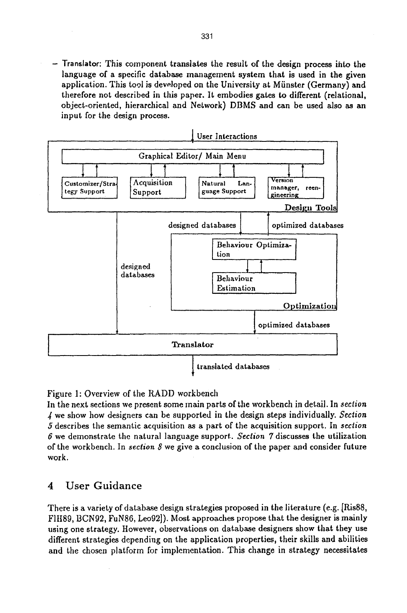**-** Translator: This component translates the result of the design process ihto the language of a specific database management system that is used in the given application. This tool is developed on the University at Münster (Germany) and therefore not described in this paper. It embodies gates to different (relational, object-oriented, hierarchical and Network) DBMS and can be used also as an input for the design process.



#### Figure 1: Overview of the RADD workbench

In the next sections we present some main parts of the workbench in detail. In *section* 4 we show how designers can be supported in the design steps individually. *Section*  5 describes the semantic acquisition as a part of the acquisition support. In *section*  # we demonstrate the natural language support.. *Section* 7 discusses the utilization of the workbench. In *section 8* we give a conclusion of the paper and consider future work.

### 4 User Guidance

There is a variety of database design strategies proposed in the literature (e.g. [Ris88, FlII89, BCN92, FUN86, Leo92]). Most approaches propose that the designer is mainly using one strategy. However, observations on database designers show that they use different strategies depending on the application properties, their skills and abilities and the chosen platform for implementation. This change in strategy necessitates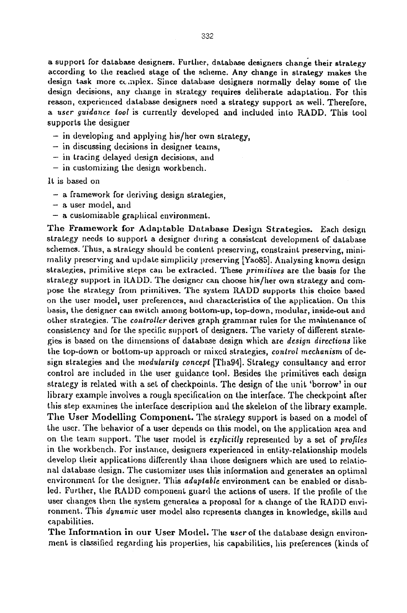a support for database designers. Further, database designers change their strategy according to the reached stage of the scheme. Any change in strategy makes the design task more complex. Since database designers normally delay some of the design decisions, any change in strategy requires deliberate adaptation. For this reason, experienced database designers need a strategy support as well. Therefore, *a user guidance fool* is currently developed and included into RADD. This tool supports the designer

- in developing and applying his/her own strategy,
- in discussing decisions in designer teams,
- in tracing delayed design decisions, and
- $-$  in customizing the design workbench.

It is based on

- a framework for deriving design strategies,
- $-$  a user model, and
- a customizable graphical environment.

The Framework for Adaptable Database Design Strategies. Each design strategy needs to support a designer during a consistent development of database schemes. Thus, a strategy should be content preserving, constraint preserving, minimality preserving and update simplicity preserving [Yao85]. Analysing known design strategies, primitive steps can be extracted. These *primitives* are the basis for the strategy support in R.ADD. The designer can choose his/her own strategy and compose the strategy from primitives. The system RADD supports this choice based on the user model, user preferences, and characteristics of the application. On this basis, the designer can switch among bottom-up, top-down, modular, inside-out and other strategies. The *controller* derives graph grammar rules for the maintenance of consistency and for the specific support of designers. The variety of different strategies is based on the dimensions of database design which are *design directions* like the top-down or bottom-up approach or mixed strategies, *control mechanism* of design strategies and the *modularity concept* [Tha94]. Strategy consultancy and error control are included in the user guidance tool. Besides the primitives each design strategy is related will, a set of checkpoints. The design of the unit 'borrow' in our library example involves a rough specification on the interface. The checkpoint after this step examines the interface description and the skeleton of the library example. The User Modelling Component. The strategy support is based on a model of the user. The behavior of a user depends on this model, on the application area and on the team support. The user model is *ezplicilly* represented by a set of *profiles*  in the workbench. For instance, designers experienced in entity-relationship models develop their applications differently than those designers which are used to relational database design. The customizer uses this information and generates an optimal environment for the designer. This *adaptable* environment can be enabled or disabled. Further, the RADD component guard the actions of users. If the profile of the user changes then the system generates a proposal for a change of the RADD environment. This *dynamic* user model also represents changes in knowledge, skills and capabilities.

The Information in our User Model. The *user* of the database design environment is classified regarding his properties, his capabilities, his preferences (kinds of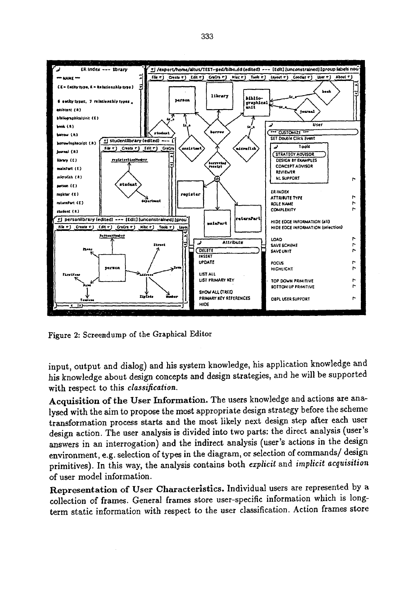

**Figure 2: Screendump of the Graphical Editor** 

**input, output and dialog) and his system knowledge, his application knowledge and his knowledge about design concepts and design strategies, and he will be supported with respect to this** *classification.* 

**Acquisition of the User Information. The users knowledge and actions are analysed with the aim to propose the most appropriate design strategy before the scheme transformation process starts and the most likely next design step after each user design action. The user analysis is divided into two parts: the direct analysis (user's answers in an interrogation) and the indirect analysis (user's actions in the design environment, e.g. selection of types in the diagram, or selection of commands/design primitives). In this way, the analysis contains both** *ezplicit* **and** *implicit acquisition*  **of user model information.** 

**Representation of User Characteristics. Individual users are represented by a collection of frames. General frames store user-specific information which is longterm static information with respect to the user classification. Action frames store**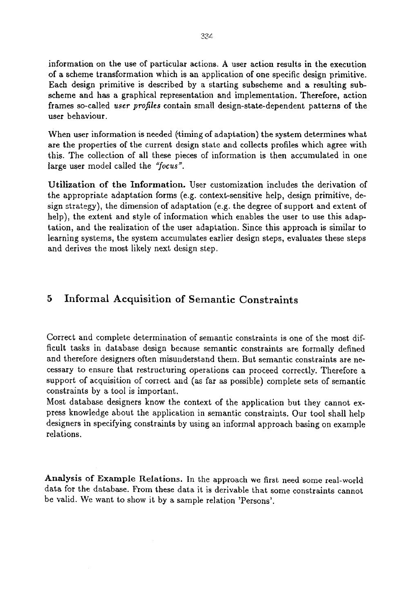information on the use of particular actions. A user action results in the execution of a scheme transformation which is an application of one specific design primitive. Each design primitive is described by a starting subscheme and a resulting subscheme and has a graphical representation and implementation. Therefore, action frames so-called *user profiles* contain small design-state-dependent patterns of the user behaviour.

When user information is needed (timing of adaptation) the system determines what are the properties of the current design state and collects profiles which agree with this. The collection of all these pieces of information is then accumulated in one large user model called the *"focus".* 

Utilization of the Information. User customization includes the derivation of the appropriate adaptation forms (e.g. context-sensitive help, design primitive, design strategy), the dimension of adaptation (e.g. the degree of support and extent of help), the extent and style of information which enables the user to use this adaptation, and the realization of the user adaptation. Since this approach is similar to learning systems, the system accumulates earlier design steps, evaluates these steps and derives the most likely next design step.

## **5 Informal Acquisition of Semantic Constraints**

Correct and complete determination of semantic constraints is one of the most difficult tasks in database design because semantic constraints are formally defined and therefore designers often misunderstand them. But semantic constraints are necessary to ensure that restructuring operations can proceed correctly. Therefore a support of acquisition of correct and (as far as possible) complete sets of semantic constraints by a tool is important.

Most database designers know the context of the application but they cannot express knowledge about the application in semantic constraints. Our tool shall help designers in specifying constraints by using an informal approach basing on example relations.

Analysis of Example Relations. In the approach we first need some real-world data for the database. From these data it is derivable that some constraints cannot be valid. We want to show it by a sample relation 'Persons'.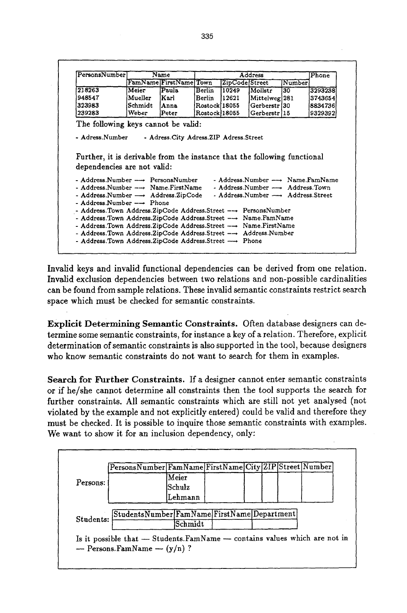| 218263<br>948547                                                                                                                                                                                                                                                                     | Meier   | FamName FirstName Town |               | <b>Address</b> |                                                                                                                                                                                                                              |        |         |
|--------------------------------------------------------------------------------------------------------------------------------------------------------------------------------------------------------------------------------------------------------------------------------------|---------|------------------------|---------------|----------------|------------------------------------------------------------------------------------------------------------------------------------------------------------------------------------------------------------------------------|--------|---------|
|                                                                                                                                                                                                                                                                                      |         |                        |               | ZipCode Street |                                                                                                                                                                                                                              | Number |         |
|                                                                                                                                                                                                                                                                                      |         | Paula                  | Berlin        | 10249          | Mollstr                                                                                                                                                                                                                      | 30     | 3293238 |
|                                                                                                                                                                                                                                                                                      | Mueller | lKarl                  | <b>Berlin</b> | 112621         | Mittelweg 281                                                                                                                                                                                                                |        | 3743654 |
| 323983                                                                                                                                                                                                                                                                               | Schmidt | Anna.                  | Rostock 18055 |                | Gerberstr130                                                                                                                                                                                                                 |        | 8834736 |
| 239283                                                                                                                                                                                                                                                                               | Weber   | Peter                  | Rostock 18055 |                | Gerberstr <sup>15</sup>                                                                                                                                                                                                      |        | 9329392 |
| Further, it is derivable from the instance that the following functional<br>dependencies are not valid:<br>- Address.Number –→ PersonsNumber<br>$-$ Address. Number $-\rightarrow$ Name First Name<br>- Address.Number - Address.ZipCode<br>- Address Number $\longrightarrow$ Phone |         |                        |               |                | - Address.Number $\longrightarrow$ Name.FamName<br>- Address Number $\rightarrow$ Address Town<br>$\cdot$ Address. Number $\rightarrow$ Address. Street<br>- Address. Town Address. ZipCode Address. Street -- PersonsNumber |        |         |

Invalid keys and invalid functional dependencies can be derived from one relation. Invalid exclusion dependencies between two relations and non-possible cardinalities can be found from sample relations. These invalid semantic constraints restrict search space which must be checked for semantic constraints.

Explicit Determining Semantic Constraints. Often database designers can determine some semantic constraints, for instance a key of a relation. Therefore, explicit determination of semantic constraints is also supported in the tool, because designers who know semantic constraints do not want to search for them in examples.

Search for Further Constraints. If a designer cannot enter semantic constraints or if he/she cannot determine all constraints then the tool supports the search for further constraints. All semantic constraints which are still not yet analysed (not violated by the example and not explicitly entered) could be valid and therefore they must be checked. It is possible to inquire those semantic constraints with examples. We want to show it for an inclusion dependency, only:

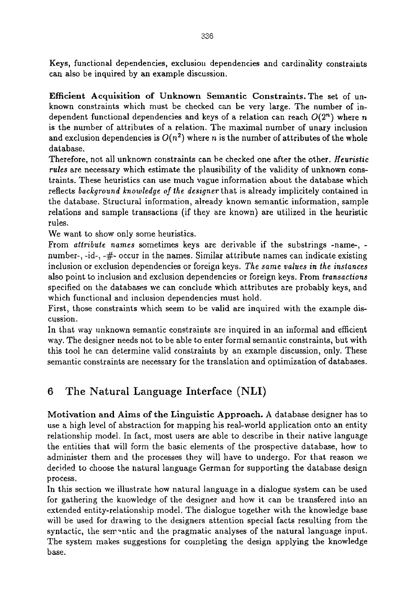Keys, functional dependencies, exclusion dependencies and cardinality constraints can also be inquired by an example discussion.

Efficient Acquisition of Unknown Semantic Constraints. The set of unknown constraints which must be checked can be very large. The number of independent functional dependencies and keys of a relation can reach  $O(2^n)$  where n is the number of attributes of a relation. The maximal number of unary inclusion and exclusion dependencies is  $O(n^2)$  where n is the number of attributes of the whole database.

Therefore, not all unknown constraints can be checked one after the other. *Heuristic rules* are necessary which estimate the plausibility of the validity of unknown constraints. These heuristics can use much vague information about the database which reflects *background knowledge of the designer* that is already implicitely contained in the database. Structural information, already known semantic information, sample relations and sample transactions (if they are known) are utilized in the heuristic rules.

We want to show only some heuristics.

From *attribute names* sometimes keys are derivable if the substrings -name-, number-,  $-i$ d-,  $-\#$ - occur in the names. Similar attribute names can indicate existing inclusion or exclusion dependencies or foreign keys. *The same values in the instances*  also point to inclusion and exclusion dependencies or foreign keys. From *lransactions*  specified on the databases we can conclude which attributes are probably keys, and which functional and inclusion dependencies must hold.

First, those constraints which seem to be valid are inquired with the example discussion.

In that way unknown semantic constraints are inquired in an informal and efficient way. The designer needs not to be able to enter formal semantic constraints, but with this tool he can determine valid constraints by an example discussion, only. These semantic constraints are necessary for the translation and optimization of databases.

# 6 The Natural Language Interface (NLI)

Motivation and Aims of the Linguistic Approach. A database designer has to use a high level of abstraction for mapping his real-world application onto an entity relationship model. In fact, most users are able to describe in their native language the entities that will form the basic elements of the prospective database, how to administer them and the processes they will have to undergo. For that reason we decided to choose the natural language German for supporting the database design process.

In this section we illustrate how natural language in a dialogue system can be used for gathering the knowledge of the designer and how it can be transfered into an extended entity-relationship model. The dialogue together with the knowledge base will be used for drawing to the designers attention special facts resulting from the syntactic, the semantic and the pragmatic analyses of the natural language input. The system makes suggestions for completing the design applying the knowledge base.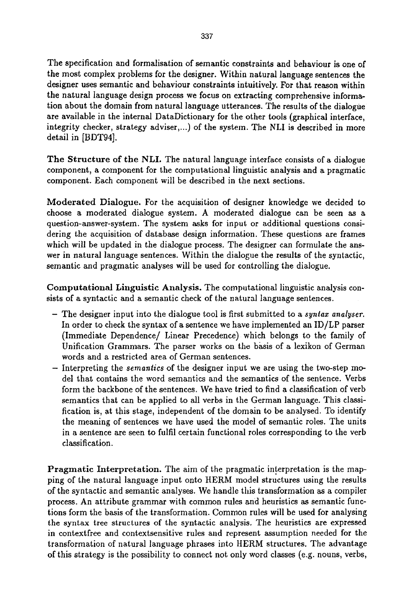The specification and formalisation of semantic constraints and behaviour is one of the most complex problems for the designer. Within natural language sentences the designer uses semantic and behaviour constraints intuitively. For that reason within the natural language design process we focus on extracting comprehensive information about the domain from natural language utterances. The results of the dialogue are available in the internal DataDictionary for the other tools (graphical interface, integrity checker, strategy adviser,...) of the system. The NLI is described in more detail in [BDT94].

The Structure of the NLI. The natural language interface consists of a dialogue component, a component for the computational linguistic analysis and a pragmatic component. Each component will be described in the next sections.

Moderated Dialogue. For the acquisition of designer knowledge we decided to choose a moderated dialogue system. A moderated dialogue can be seen as a question-answer-system. The system asks for input or additional questions considering the acquisition of database design information. These questions are frames which will be updated in the dialogue process. The designer can formulate the answer in natural language sentences. Within the dialogue the results of the syntactic, semantic and pragmatic analyses will be used for controlling the dialogue.

Computational Linguistic Analysis. The computational linguistic analysis consists of a syntactic and a semantic check of the natural language sentences.

- The designer input into the dialogue tool is first submitted to a *syntax analyser.*  In order to check the syntax of a sentence we have implemented an ID/LP parser (Immediate Dependence/ Linear Precedence) which belongs to the family of Unification Grammars. The parser works on the basis of a lexikon of German words and a restricted area of German sentences.
- Interpreting the *semantics* of the designer input we are using the two-step model that contains the word semantics and the semantics of the sentence. Verbs form the backbone of the sentences. We have tried to find a classification of verb semantics that can be applied to all verbs in the German language. This classification is, at this stage, independent of the domain to be analysed. To identify the meaning of sentences we have used the model of semantic roles. The units in a sentence are seen to fulfil certain functional roles corresponding to the verb classification.

**Pragmatic Interpretation.** The aim of the pragmatic interpretation is the mapping of the natural language input onto HERM model structures using the results of the syntactic and semantic analyses. We handle this transformation as a compiler process. An attribute grammar with common rules and heuristics as semantic functions form the basis of the transformation. Common rules will be used for analysing the syntax tree structures of the syntactic analysis. The heuristics are expressed in contextfree and contextsensitive rules and represent assumption needed for the transformation of natural language phrases into HERM structures. The advantage of this strategy is the possibility to connect not. only word classes (e.g. nouns, verbs,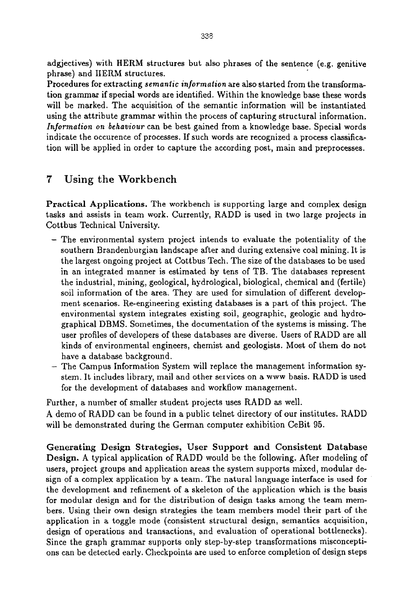adgjectives) with HERM structures but also phrases of the sentence (e.g. genitive phrase) and IIERM structures.

Procedures for extracting *semantic information* are also started from the transformation grammar if special words are identified. Within the knowledge base these words will be marked. The acquisition of the semantic information will be instantiated using the attribute grammar within the process of capturing structural information. *Information on behaviour* can be best gained from a knowledge base. Special words indicate the occurence of processes. If such words are recognized a process classification will be applied in order to capture the according post, main and preprocesses.

#### 7 Using the Workbench

Practical Applications. The workbench is supporting large and complex design tasks and assists in team work. Currently, RADD is used in two large projects in Cottbus Technical University.

- The environmental system project intends to evaluate the potentiality of the southern Brandenburgian landscape after and during extensive coal mining. It is the largest ongoing project at Cottbus Tech. The size of the databases to be used in an integrated manner is estimated by tens of TB. The databases represent the industrial, mining, geological, hydrological, biological, chemical and (fertile) soil information of the area. They are used for simulation of different development scenarios. Re-engineering existing databases is a part of this project. The environmental system integrates existing soil, geographic, geologic and hydrographical DBMS. Sometimes, the documentation of the systems is missing. The user profiles of developers of these databases are diverse. Users of RADD are all kinds of environmental engineers, chemist and geologists. Most of them do not have a database background.
- The Campus Information System will replace the management information system. It includes library, mail and other setvices on a www basis. RADD is used for the development of databases and workfiow management.

Further, a number of smaller student projects uses R.ADD as well. A demo of RADD can be found in a public telnet directory of our institutes. R.ADD will be demonstrated during the German computer exhibition CeBit 95.

Generating Design Strategies, User Support and Consistent **Database**  Design. A typical application of RADD would be the following. After modeling of users, project groups and application areas the system supports mixed, modular design of a complex application by a team. The natural language interface is used for the development and refinement of a skeleton of the application which is the basis for modular design and for the distribution of design tasks among the team members. Using their own design strategies the team members model their part of the application in a toggle mode (consistent structural design, semantics acquisition, design of operations and transactions, and evaluation of operational bottlenecks). Since the graph grammar supports only step-by-step transformations misconceptions can be detected early. Checkpoints are used to enforce completion of design steps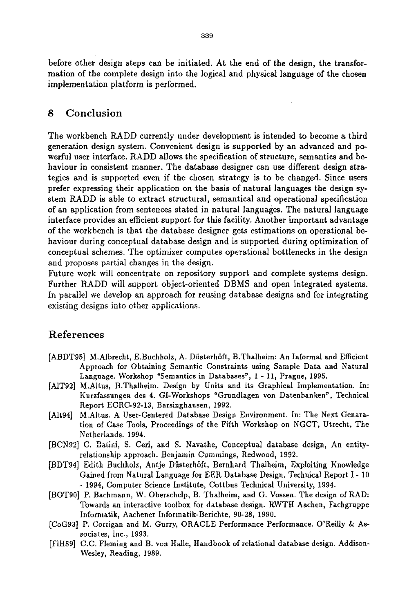before other design steps can be initiated. At the end of the design, the transformation of the complete design into the logical and physical language of the chosen implementation platform is performed.

#### **8 Conclusion**

The workbench RADD currently under development is intended to become a third generation design system. Convenient design is supported by an advanced and powerful user interface. RADD allows the specification of structure, semantics and behaviour in consistent manner. The database designer can use different design strategies and is supported even if the chosen strategy is to be changed. Since users prefer expressing their application on the basis of natural languages the design system RADD is able to extract structural, semantical and operational specification of an application from sentences stated in natural languages. The natural language interface provides an efficient support for this facility. Another important advantage of the workbench is that the database designer gets estimations on operational behaviour during conceptual database design and is supported during optimization of conceptual schemes. The optimizer computes operational bottlenecks in the design and proposes partial changes in the design.

Future work will concentrate on repository support and complete systems design. Further RADD will support object-oriented DBMS and open integrated systems. In parallel we develop an approach for reusing database designs and for integrating existing designs into other applications.

#### **References**

- [ABDT95] M.Albrecht, E.Buchholz, A. Düsterhöft, B.Thalheim: An Informal and Efficient Approach for Obtaining Semantic Constraints using Sample Data and Natural Language. Workshop "Semantics in Databases", 1 - 11, Prague, 1995.
- [AlT92] M.Altus, B.Thalheim. Design by Units and its Graphical Implementation. In: Kurzfassungen des 4. GI-Workshops "Grundlagen yon Datenbanken', Technical Report ECRC-92-13, Barsinghausen, 1992.
- [Alt94] M.Altus. A User-Centered Database Design Environment. In: The Next Genaration of Case Tools, Proceedings of the Fifth Workshop on NGCT, Utrecht, The Netherlands. 1994.
- [BCN92] C. Batini, S. Ceri, and S. Navathe, Conceptual database design, An entityrelationship approach. Benjamin Cummings, Redwood, 1992.
- [BDT94] Edith Buchholz, Antje Düsterhöft, Bernhard Thalheim, Exploiting Knowledge Gained from Natural Language for EER Database Design. Technical Report I - 10 **-** 1994, Computer Science Institute, Cottbus Technical University, 1994.
- [BOTg0] P. Bachmann, W. Oberschelp, B. Thalheim, and G. Vossen. The design of RAD: Towards an interactive toolbox for database design. RWTH Aachen, Fachgruppe Informatik, Aachener Informatik-Berichte, 90-28, 1990.
- [CoG93] P. Corrigan and M. Gurry, ORACLE Performance Performance. O'Reilly & Associates, Inc., 1993.
- [F1H89] C.C. Fleming and B. yon Halle, Handbook of relational database design. Addison-Wesley, Reading, 1989.